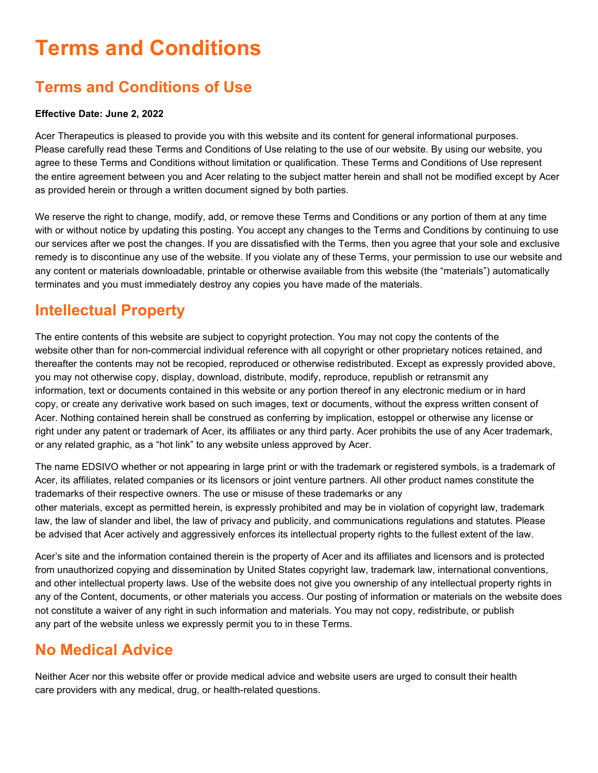# **Terms and Conditions**

# **Terms and Conditions of Use**

#### **Effective Date: June 2, 2022**

Acer Therapeutics is pleased to provide you with this website and its content for general informational purposes. Please carefully read these Terms and Conditions of Use relating to the use of our website. By using our website, you agree to these Terms and Conditions without limitation or qualification. These Terms and Conditions of Use represent the entire agreement between you and Acer relating to the subject matter herein and shall not be modified except by Acer as provided herein or through a written document signed by both parties.

We reserve the right to change, modify, add, or remove these Terms and Conditions or any portion of them at any time with or without notice by updating this posting. You accept any changes to the Terms and Conditions by continuing to use our services after we post the changes. If you are dissatisfied with the Terms, then you agree that your sole and exclusive remedy is to discontinue any use of the website. If you violate any of these Terms, your permission to use our website and any content or materials downloadable, printable or otherwise available from this website (the "materials") automatically terminates and you must immediately destroy any copies you have made of the materials.

#### **Intellectual Property**

The entire contents of this website are subject to copyright protection. You may not copy the contents of the website other than for non-commercial individual reference with all copyright or other proprietary notices retained, and thereafter the contents may not be recopied, reproduced or otherwise redistributed. Except as expressly provided above, you may not otherwise copy, display, download, distribute, modify, reproduce, republish or retransmit any information, text or documents contained in this website or any portion thereof in any electronic medium or in hard copy, or create any derivative work based on such images, text or documents, without the express written consent of Acer. Nothing contained herein shall be construed as conferring by implication, estoppel or otherwise any license or right under any patent or trademark of Acer, its affiliates or any third party. Acer prohibits the use of any Acer trademark, or any related graphic, as a "hot link" to any website unless approved by Acer.

The name EDSIVO whether or not appearing in large print or with the trademark or registered symbols, is a trademark of Acer, its affiliates, related companies or its licensors or joint venture partners. All other product names constitute the trademarks of their respective owners. The use or misuse of these trademarks or any other materials, except as permitted herein, is expressly prohibited and may be in violation of copyright law, trademark

law, the law of slander and libel, the law of privacy and publicity, and communications regulations and statutes. Please be advised that Acer actively and aggressively enforces its intellectual property rights to the fullest extent of the law.

Acer's site and the information contained therein is the property of Acer and its affiliates and licensors and is protected from unauthorized copying and dissemination by United States copyright law, trademark law, international conventions, and other intellectual property laws. Use of the website does not give you ownership of any intellectual property rights in any of the Content, documents, or other materials you access. Our posting of information or materials on the website does not constitute a waiver of any right in such information and materials. You may not copy, redistribute, or publish any part of the website unless we expressly permit you to in these Terms.

# **No Medical Advice**

Neither Acer nor this website offer or provide medical advice and website users are urged to consult their health care providers with any medical, drug, or health-related questions.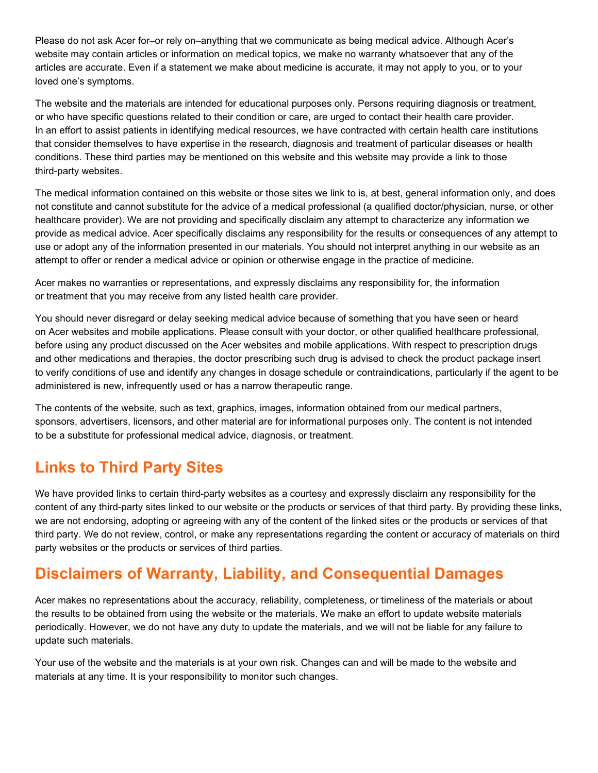Please do not ask Acer for–or rely on–anything that we communicate as being medical advice. Although Acer's website may contain articles or information on medical topics, we make no warranty whatsoever that any of the articles are accurate. Even if a statement we make about medicine is accurate, it may not apply to you, or to your loved one's symptoms.

The website and the materials are intended for educational purposes only. Persons requiring diagnosis or treatment, or who have specific questions related to their condition or care, are urged to contact their health care provider. In an effort to assist patients in identifying medical resources, we have contracted with certain health care institutions that consider themselves to have expertise in the research, diagnosis and treatment of particular diseases or health conditions. These third parties may be mentioned on this website and this website may provide a link to those third-party websites.

The medical information contained on this website or those sites we link to is, at best, general information only, and does not constitute and cannot substitute for the advice of a medical professional (a qualified doctor/physician, nurse, or other healthcare provider). We are not providing and specifically disclaim any attempt to characterize any information we provide as medical advice. Acer specifically disclaims any responsibility for the results or consequences of any attempt to use or adopt any of the information presented in our materials. You should not interpret anything in our website as an attempt to offer or render a medical advice or opinion or otherwise engage in the practice of medicine.

Acer makes no warranties or representations, and expressly disclaims any responsibility for, the information or treatment that you may receive from any listed health care provider.

You should never disregard or delay seeking medical advice because of something that you have seen or heard on Acer websites and mobile applications. Please consult with your doctor, or other qualified healthcare professional, before using any product discussed on the Acer websites and mobile applications. With respect to prescription drugs and other medications and therapies, the doctor prescribing such drug is advised to check the product package insert to verify conditions of use and identify any changes in dosage schedule or contraindications, particularly if the agent to be administered is new, infrequently used or has a narrow therapeutic range.

The contents of the website, such as text, graphics, images, information obtained from our medical partners, sponsors, advertisers, licensors, and other material are for informational purposes only. The content is not intended to be a substitute for professional medical advice, diagnosis, or treatment.

# **Links to Third Party Sites**

We have provided links to certain third-party websites as a courtesy and expressly disclaim any responsibility for the content of any third-party sites linked to our website or the products or services of that third party. By providing these links, we are not endorsing, adopting or agreeing with any of the content of the linked sites or the products or services of that third party. We do not review, control, or make any representations regarding the content or accuracy of materials on third party websites or the products or services of third parties.

#### **Disclaimers of Warranty, Liability, and Consequential Damages**

Acer makes no representations about the accuracy, reliability, completeness, or timeliness of the materials or about the results to be obtained from using the website or the materials. We make an effort to update website materials periodically. However, we do not have any duty to update the materials, and we will not be liable for any failure to update such materials.

Your use of the website and the materials is at your own risk. Changes can and will be made to the website and materials at any time. It is your responsibility to monitor such changes.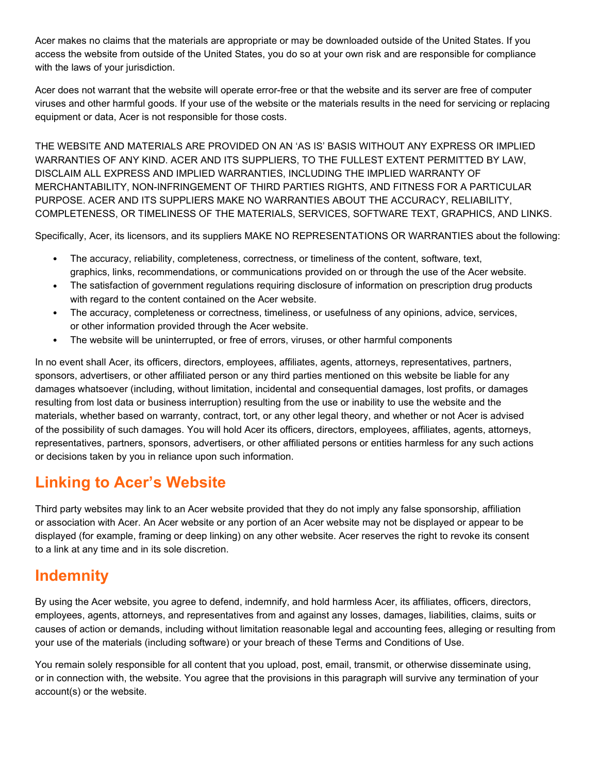Acer makes no claims that the materials are appropriate or may be downloaded outside of the United States. If you access the website from outside of the United States, you do so at your own risk and are responsible for compliance with the laws of your jurisdiction.

Acer does not warrant that the website will operate error-free or that the website and its server are free of computer viruses and other harmful goods. If your use of the website or the materials results in the need for servicing or replacing equipment or data, Acer is not responsible for those costs.

THE WEBSITE AND MATERIALS ARE PROVIDED ON AN 'AS IS' BASIS WITHOUT ANY EXPRESS OR IMPLIED WARRANTIES OF ANY KIND. ACER AND ITS SUPPLIERS, TO THE FULLEST EXTENT PERMITTED BY LAW, DISCLAIM ALL EXPRESS AND IMPLIED WARRANTIES, INCLUDING THE IMPLIED WARRANTY OF MERCHANTABILITY, NON-INFRINGEMENT OF THIRD PARTIES RIGHTS, AND FITNESS FOR A PARTICULAR PURPOSE. ACER AND ITS SUPPLIERS MAKE NO WARRANTIES ABOUT THE ACCURACY, RELIABILITY, COMPLETENESS, OR TIMELINESS OF THE MATERIALS, SERVICES, SOFTWARE TEXT, GRAPHICS, AND LINKS.

Specifically, Acer, its licensors, and its suppliers MAKE NO REPRESENTATIONS OR WARRANTIES about the following:

- The accuracy, reliability, completeness, correctness, or timeliness of the content, software, text, graphics, links, recommendations, or communications provided on or through the use of the Acer website.
- The satisfaction of government regulations requiring disclosure of information on prescription drug products with regard to the content contained on the Acer website.
- The accuracy, completeness or correctness, timeliness, or usefulness of any opinions, advice, services, or other information provided through the Acer website.
- The website will be uninterrupted, or free of errors, viruses, or other harmful components

In no event shall Acer, its officers, directors, employees, affiliates, agents, attorneys, representatives, partners, sponsors, advertisers, or other affiliated person or any third parties mentioned on this website be liable for any damages whatsoever (including, without limitation, incidental and consequential damages, lost profits, or damages resulting from lost data or business interruption) resulting from the use or inability to use the website and the materials, whether based on warranty, contract, tort, or any other legal theory, and whether or not Acer is advised of the possibility of such damages. You will hold Acer its officers, directors, employees, affiliates, agents, attorneys, representatives, partners, sponsors, advertisers, or other affiliated persons or entities harmless for any such actions or decisions taken by you in reliance upon such information.

# **Linking to Acer's Website**

Third party websites may link to an Acer website provided that they do not imply any false sponsorship, affiliation or association with Acer. An Acer website or any portion of an Acer website may not be displayed or appear to be displayed (for example, framing or deep linking) on any other website. Acer reserves the right to revoke its consent to a link at any time and in its sole discretion.

#### **Indemnity**

By using the Acer website, you agree to defend, indemnify, and hold harmless Acer, its affiliates, officers, directors, employees, agents, attorneys, and representatives from and against any losses, damages, liabilities, claims, suits or causes of action or demands, including without limitation reasonable legal and accounting fees, alleging or resulting from your use of the materials (including software) or your breach of these Terms and Conditions of Use.

You remain solely responsible for all content that you upload, post, email, transmit, or otherwise disseminate using, or in connection with, the website. You agree that the provisions in this paragraph will survive any termination of your account(s) or the website.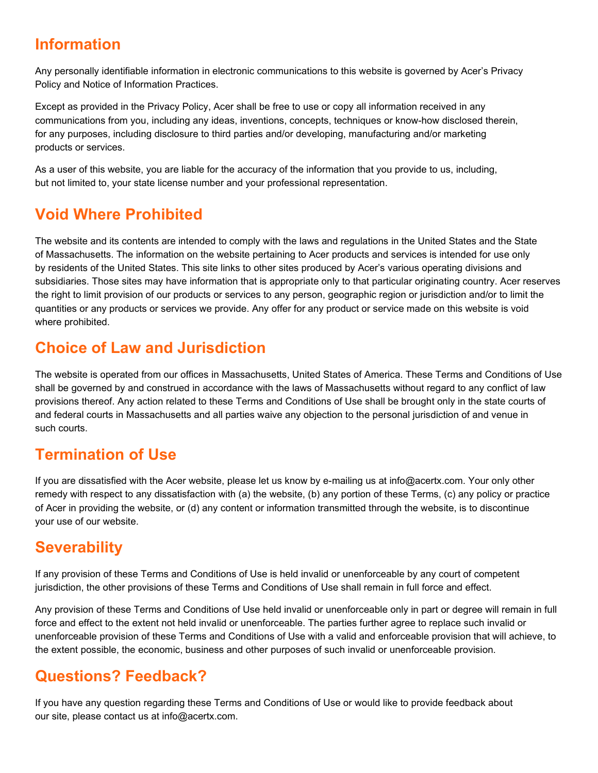### **Information**

Any personally identifiable information in electronic communications to this website is governed by Acer's Privacy Policy and Notice of Information Practices.

Except as provided in the Privacy Policy, Acer shall be free to use or copy all information received in any communications from you, including any ideas, inventions, concepts, techniques or know-how disclosed therein, for any purposes, including disclosure to third parties and/or developing, manufacturing and/or marketing products or services.

As a user of this website, you are liable for the accuracy of the information that you provide to us, including, but not limited to, your state license number and your professional representation.

## **Void Where Prohibited**

The website and its contents are intended to comply with the laws and regulations in the United States and the State of Massachusetts. The information on the website pertaining to Acer products and services is intended for use only by residents of the United States. This site links to other sites produced by Acer's various operating divisions and subsidiaries. Those sites may have information that is appropriate only to that particular originating country. Acer reserves the right to limit provision of our products or services to any person, geographic region or jurisdiction and/or to limit the quantities or any products or services we provide. Any offer for any product or service made on this website is void where prohibited.

#### **Choice of Law and Jurisdiction**

The website is operated from our offices in Massachusetts, United States of America. These Terms and Conditions of Use shall be governed by and construed in accordance with the laws of Massachusetts without regard to any conflict of law provisions thereof. Any action related to these Terms and Conditions of Use shall be brought only in the state courts of and federal courts in Massachusetts and all parties waive any objection to the personal jurisdiction of and venue in such courts.

# **Termination of Use**

If you are dissatisfied with the Acer website, please let us know by e-mailing us at info@acertx.com. Your only other remedy with respect to any dissatisfaction with (a) the website, (b) any portion of these Terms, (c) any policy or practice of Acer in providing the website, or (d) any content or information transmitted through the website, is to discontinue your use of our website.

# **Severability**

If any provision of these Terms and Conditions of Use is held invalid or unenforceable by any court of competent jurisdiction, the other provisions of these Terms and Conditions of Use shall remain in full force and effect.

Any provision of these Terms and Conditions of Use held invalid or unenforceable only in part or degree will remain in full force and effect to the extent not held invalid or unenforceable. The parties further agree to replace such invalid or unenforceable provision of these Terms and Conditions of Use with a valid and enforceable provision that will achieve, to the extent possible, the economic, business and other purposes of such invalid or unenforceable provision.

# **Questions? Feedback?**

If you have any question regarding these Terms and Conditions of Use or would like to provide feedback about our site, please contact us at info@acertx.com.